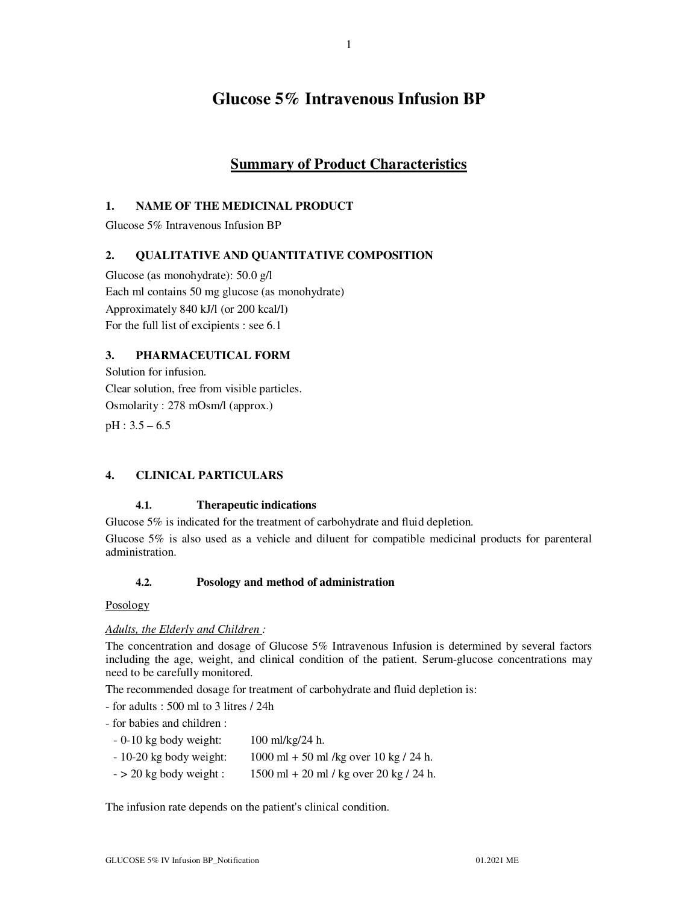# **Glucose 5% Intravenous Infusion BP**

1

## **Summary of Product Characteristics**

## **1. NAME OF THE MEDICINAL PRODUCT**

Glucose 5% Intravenous Infusion BP

## **2. QUALITATIVE AND QUANTITATIVE COMPOSITION**

Glucose (as monohydrate): 50.0 g/l Each ml contains 50 mg glucose (as monohydrate) Approximately 840 kJ/l (or 200 kcal/l) For the full list of excipients : see 6.1

## **3. PHARMACEUTICAL FORM**

Solution for infusion. Clear solution, free from visible particles. Osmolarity : 278 mOsm/l (approx.) pH : 3.5 – 6.5

## **4. CLINICAL PARTICULARS**

## **4.1. Therapeutic indications**

Glucose 5% is indicated for the treatment of carbohydrate and fluid depletion.

Glucose 5% is also used as a vehicle and diluent for compatible medicinal products for parenteral administration.

## **4.2. Posology and method of administration**

#### Posology

## *Adults, the Elderly and Children :*

The concentration and dosage of Glucose 5% Intravenous Infusion is determined by several factors including the age, weight, and clinical condition of the patient. Serum-glucose concentrations may need to be carefully monitored.

The recommended dosage for treatment of carbohydrate and fluid depletion is:

- for adults : 500 ml to 3 litres / 24h
- for babies and children :
- 0-10 kg body weight: 100 ml/kg/24 h.
- 10-20 kg body weight: 1000 ml + 50 ml /kg over 10 kg / 24 h.
- $-$  > 20 kg body weight : 1500 ml + 20 ml / kg over 20 kg / 24 h.

The infusion rate depends on the patient's clinical condition.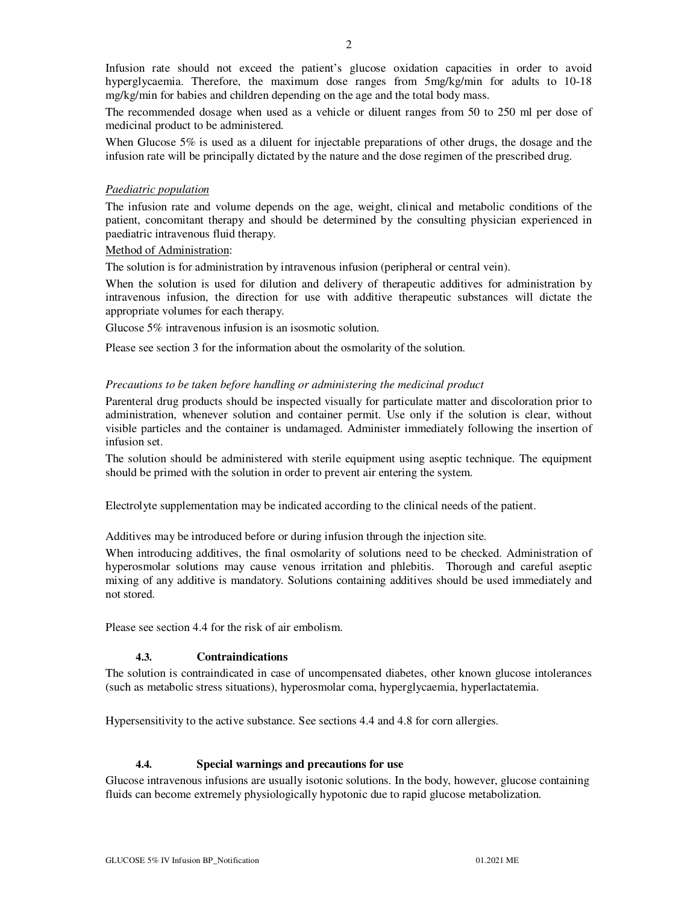Infusion rate should not exceed the patient's glucose oxidation capacities in order to avoid hyperglycaemia. Therefore, the maximum dose ranges from 5mg/kg/min for adults to 10-18 mg/kg/min for babies and children depending on the age and the total body mass.

The recommended dosage when used as a vehicle or diluent ranges from 50 to 250 ml per dose of medicinal product to be administered.

When Glucose 5% is used as a diluent for injectable preparations of other drugs, the dosage and the infusion rate will be principally dictated by the nature and the dose regimen of the prescribed drug.

#### *Paediatric population*

The infusion rate and volume depends on the age, weight, clinical and metabolic conditions of the patient, concomitant therapy and should be determined by the consulting physician experienced in paediatric intravenous fluid therapy.

#### Method of Administration:

The solution is for administration by intravenous infusion (peripheral or central vein).

When the solution is used for dilution and delivery of therapeutic additives for administration by intravenous infusion, the direction for use with additive therapeutic substances will dictate the appropriate volumes for each therapy.

Glucose 5% intravenous infusion is an isosmotic solution.

Please see section 3 for the information about the osmolarity of the solution.

#### *Precautions to be taken before handling or administering the medicinal product*

Parenteral drug products should be inspected visually for particulate matter and discoloration prior to administration, whenever solution and container permit. Use only if the solution is clear, without visible particles and the container is undamaged. Administer immediately following the insertion of infusion set.

The solution should be administered with sterile equipment using aseptic technique. The equipment should be primed with the solution in order to prevent air entering the system.

Electrolyte supplementation may be indicated according to the clinical needs of the patient.

Additives may be introduced before or during infusion through the injection site.

When introducing additives, the final osmolarity of solutions need to be checked. Administration of hyperosmolar solutions may cause venous irritation and phlebitis. Thorough and careful aseptic mixing of any additive is mandatory. Solutions containing additives should be used immediately and not stored.

Please see section 4.4 for the risk of air embolism.

## **4.3. Contraindications**

The solution is contraindicated in case of uncompensated diabetes, other known glucose intolerances (such as metabolic stress situations), hyperosmolar coma, hyperglycaemia, hyperlactatemia.

Hypersensitivity to the active substance. See sections 4.4 and 4.8 for corn allergies.

#### **4.4. Special warnings and precautions for use**

Glucose intravenous infusions are usually isotonic solutions. In the body, however, glucose containing fluids can become extremely physiologically hypotonic due to rapid glucose metabolization.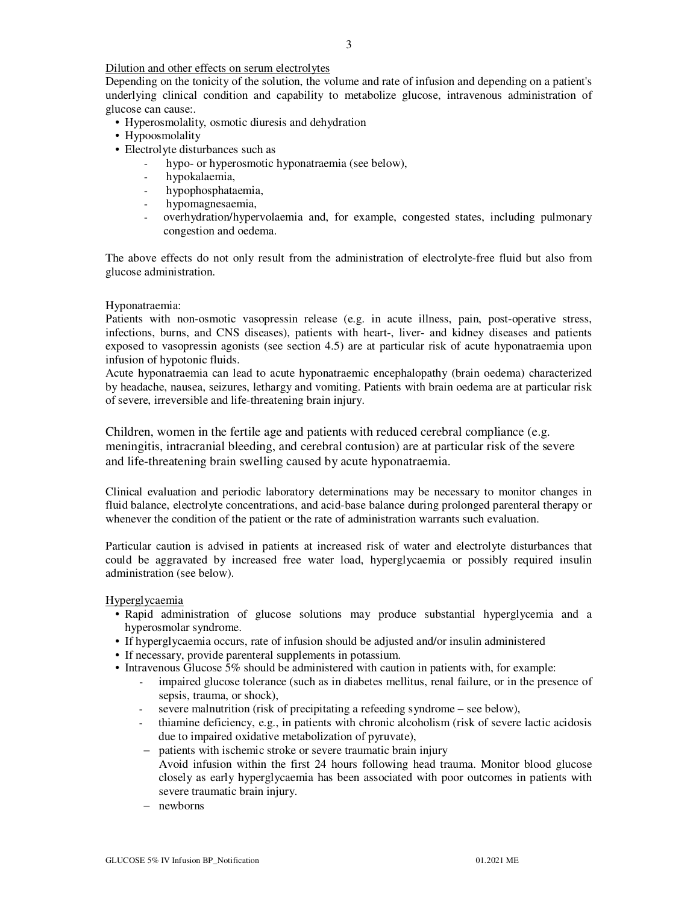#### Dilution and other effects on serum electrolytes

Depending on the tonicity of the solution, the volume and rate of infusion and depending on a patient's underlying clinical condition and capability to metabolize glucose, intravenous administration of glucose can cause:.

- Hyperosmolality, osmotic diuresis and dehydration
- Hypoosmolality
- Electrolyte disturbances such as
	- hypo- or hyperosmotic hyponatraemia (see below),
	- hypokalaemia,
	- hypophosphataemia,
	- hypomagnesaemia,
	- overhydration/hypervolaemia and, for example, congested states, including pulmonary congestion and oedema.

The above effects do not only result from the administration of electrolyte-free fluid but also from glucose administration.

#### Hyponatraemia:

Patients with non-osmotic vasopressin release (e.g. in acute illness, pain, post-operative stress, infections, burns, and CNS diseases), patients with heart-, liver- and kidney diseases and patients exposed to vasopressin agonists (see section 4.5) are at particular risk of acute hyponatraemia upon infusion of hypotonic fluids.

Acute hyponatraemia can lead to acute hyponatraemic encephalopathy (brain oedema) characterized by headache, nausea, seizures, lethargy and vomiting. Patients with brain oedema are at particular risk of severe, irreversible and life-threatening brain injury.

Children, women in the fertile age and patients with reduced cerebral compliance (e.g. meningitis, intracranial bleeding, and cerebral contusion) are at particular risk of the severe and life-threatening brain swelling caused by acute hyponatraemia.

Clinical evaluation and periodic laboratory determinations may be necessary to monitor changes in fluid balance, electrolyte concentrations, and acid-base balance during prolonged parenteral therapy or whenever the condition of the patient or the rate of administration warrants such evaluation.

Particular caution is advised in patients at increased risk of water and electrolyte disturbances that could be aggravated by increased free water load, hyperglycaemia or possibly required insulin administration (see below).

#### Hyperglycaemia

- Rapid administration of glucose solutions may produce substantial hyperglycemia and a hyperosmolar syndrome.
- If hyperglycaemia occurs, rate of infusion should be adjusted and/or insulin administered
- If necessary, provide parenteral supplements in potassium.
- Intravenous Glucose 5% should be administered with caution in patients with, for example:
	- impaired glucose tolerance (such as in diabetes mellitus, renal failure, or in the presence of sepsis, trauma, or shock),
	- severe malnutrition (risk of precipitating a refeeding syndrome see below),
	- thiamine deficiency, e.g., in patients with chronic alcoholism (risk of severe lactic acidosis due to impaired oxidative metabolization of pyruvate),
	- − patients with ischemic stroke or severe traumatic brain injury Avoid infusion within the first 24 hours following head trauma. Monitor blood glucose closely as early hyperglycaemia has been associated with poor outcomes in patients with severe traumatic brain injury.
	- − newborns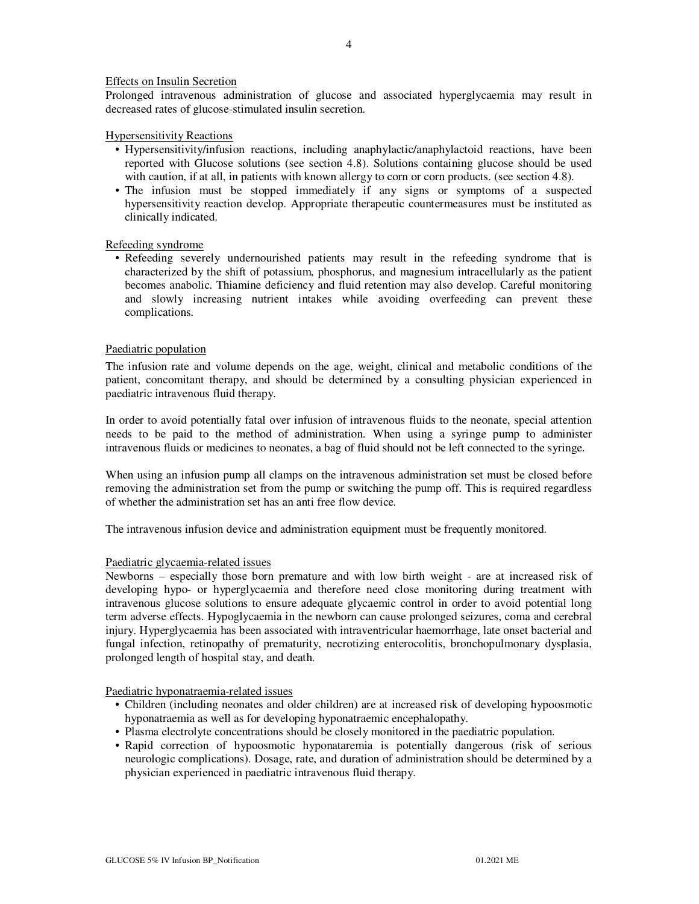#### Effects on Insulin Secretion

Prolonged intravenous administration of glucose and associated hyperglycaemia may result in decreased rates of glucose-stimulated insulin secretion.

#### Hypersensitivity Reactions

- Hypersensitivity/infusion reactions, including anaphylactic/anaphylactoid reactions, have been reported with Glucose solutions (see section 4.8). Solutions containing glucose should be used with caution, if at all, in patients with known allergy to corn or corn products. (see section 4.8).
- The infusion must be stopped immediately if any signs or symptoms of a suspected hypersensitivity reaction develop. Appropriate therapeutic countermeasures must be instituted as clinically indicated.

#### Refeeding syndrome

• Refeeding severely undernourished patients may result in the refeeding syndrome that is characterized by the shift of potassium, phosphorus, and magnesium intracellularly as the patient becomes anabolic. Thiamine deficiency and fluid retention may also develop. Careful monitoring and slowly increasing nutrient intakes while avoiding overfeeding can prevent these complications.

#### Paediatric population

The infusion rate and volume depends on the age, weight, clinical and metabolic conditions of the patient, concomitant therapy, and should be determined by a consulting physician experienced in paediatric intravenous fluid therapy.

In order to avoid potentially fatal over infusion of intravenous fluids to the neonate, special attention needs to be paid to the method of administration. When using a syringe pump to administer intravenous fluids or medicines to neonates, a bag of fluid should not be left connected to the syringe.

When using an infusion pump all clamps on the intravenous administration set must be closed before removing the administration set from the pump or switching the pump off. This is required regardless of whether the administration set has an anti free flow device.

The intravenous infusion device and administration equipment must be frequently monitored.

#### Paediatric glycaemia-related issues

Newborns – especially those born premature and with low birth weight - are at increased risk of developing hypo- or hyperglycaemia and therefore need close monitoring during treatment with intravenous glucose solutions to ensure adequate glycaemic control in order to avoid potential long term adverse effects. Hypoglycaemia in the newborn can cause prolonged seizures, coma and cerebral injury. Hyperglycaemia has been associated with intraventricular haemorrhage, late onset bacterial and fungal infection, retinopathy of prematurity, necrotizing enterocolitis, bronchopulmonary dysplasia, prolonged length of hospital stay, and death.

Paediatric hyponatraemia-related issues

- Children (including neonates and older children) are at increased risk of developing hypoosmotic hyponatraemia as well as for developing hyponatraemic encephalopathy.
- Plasma electrolyte concentrations should be closely monitored in the paediatric population.
- Rapid correction of hypoosmotic hyponataremia is potentially dangerous (risk of serious neurologic complications). Dosage, rate, and duration of administration should be determined by a physician experienced in paediatric intravenous fluid therapy.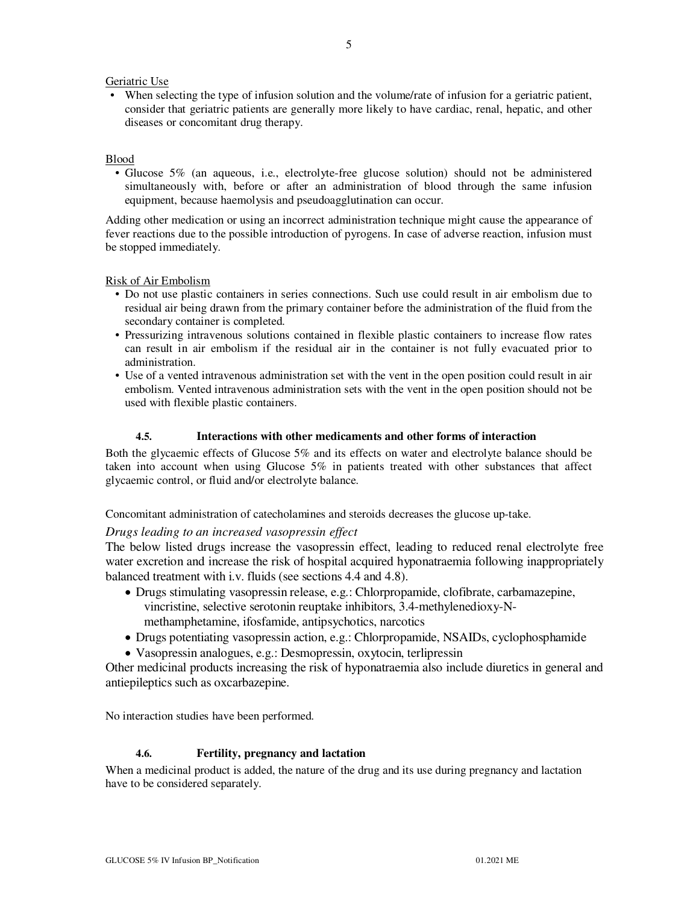#### Geriatric Use

• When selecting the type of infusion solution and the volume/rate of infusion for a geriatric patient, consider that geriatric patients are generally more likely to have cardiac, renal, hepatic, and other diseases or concomitant drug therapy.

#### Blood

• Glucose 5% (an aqueous, i.e., electrolyte-free glucose solution) should not be administered simultaneously with, before or after an administration of blood through the same infusion equipment, because haemolysis and pseudoagglutination can occur.

Adding other medication or using an incorrect administration technique might cause the appearance of fever reactions due to the possible introduction of pyrogens. In case of adverse reaction, infusion must be stopped immediately.

Risk of Air Embolism

- Do not use plastic containers in series connections. Such use could result in air embolism due to residual air being drawn from the primary container before the administration of the fluid from the secondary container is completed.
- Pressurizing intravenous solutions contained in flexible plastic containers to increase flow rates can result in air embolism if the residual air in the container is not fully evacuated prior to administration.
- Use of a vented intravenous administration set with the vent in the open position could result in air embolism. Vented intravenous administration sets with the vent in the open position should not be used with flexible plastic containers.

#### **4.5. Interactions with other medicaments and other forms of interaction**

Both the glycaemic effects of Glucose 5% and its effects on water and electrolyte balance should be taken into account when using Glucose 5% in patients treated with other substances that affect glycaemic control, or fluid and/or electrolyte balance.

Concomitant administration of catecholamines and steroids decreases the glucose up-take.

## *Drugs leading to an increased vasopressin effect*

The below listed drugs increase the vasopressin effect, leading to reduced renal electrolyte free water excretion and increase the risk of hospital acquired hyponatraemia following inappropriately balanced treatment with i.v. fluids (see sections 4.4 and 4.8).

- Drugs stimulating vasopressin release, e.g.: Chlorpropamide, clofibrate, carbamazepine, vincristine, selective serotonin reuptake inhibitors, 3.4-methylenedioxy-Nmethamphetamine, ifosfamide, antipsychotics, narcotics
- Drugs potentiating vasopressin action, e.g.: Chlorpropamide, NSAIDs, cyclophosphamide
- Vasopressin analogues, e.g.: Desmopressin, oxytocin, terlipressin

Other medicinal products increasing the risk of hyponatraemia also include diuretics in general and antiepileptics such as oxcarbazepine.

No interaction studies have been performed.

#### **4.6. Fertility, pregnancy and lactation**

When a medicinal product is added, the nature of the drug and its use during pregnancy and lactation have to be considered separately.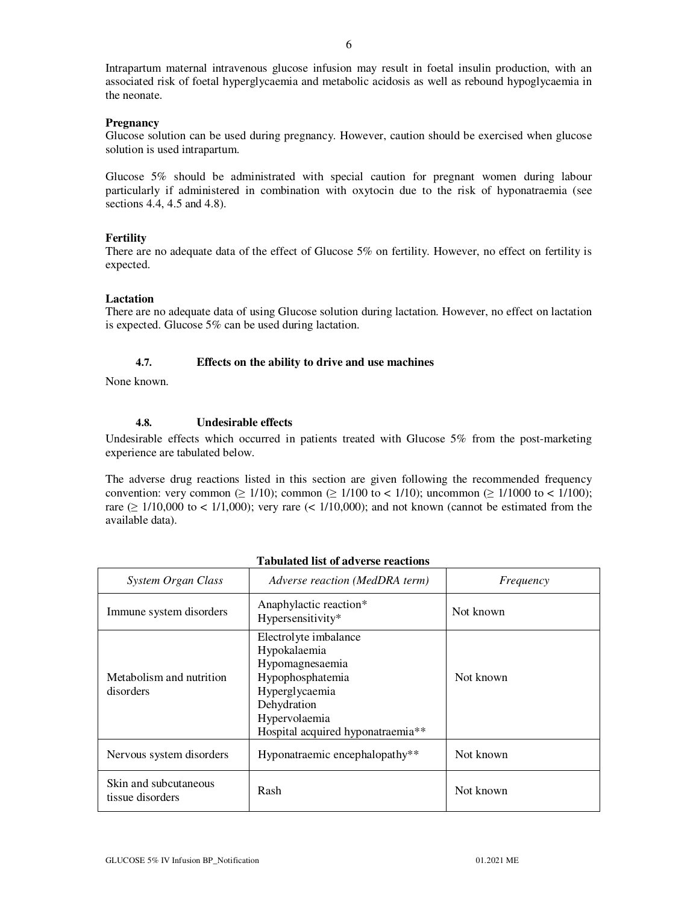## **Pregnancy**

Glucose solution can be used during pregnancy. However, caution should be exercised when glucose solution is used intrapartum.

Glucose 5% should be administrated with special caution for pregnant women during labour particularly if administered in combination with oxytocin due to the risk of hyponatraemia (see sections 4.4, 4.5 and 4.8).

## **Fertility**

There are no adequate data of the effect of Glucose 5% on fertility. However, no effect on fertility is expected.

## **Lactation**

There are no adequate data of using Glucose solution during lactation. However, no effect on lactation is expected. Glucose 5% can be used during lactation.

## **4.7. Effects on the ability to drive and use machines**

None known.

## **4.8. Undesirable effects**

Undesirable effects which occurred in patients treated with Glucose 5% from the post-marketing experience are tabulated below.

The adverse drug reactions listed in this section are given following the recommended frequency convention: very common ( $\geq 1/10$ ); common ( $\geq 1/100$  to  $\lt 1/10$ ); uncommon ( $\geq 1/1000$  to  $\lt 1/100$ ); rare ( $\geq$  1/10,000 to < 1/1,000); very rare (< 1/10,000); and not known (cannot be estimated from the available data).

| System Organ Class                        | Adverse reaction (MedDRA term)                                                                                                                                                  | Frequency |
|-------------------------------------------|---------------------------------------------------------------------------------------------------------------------------------------------------------------------------------|-----------|
| Immune system disorders                   | Anaphylactic reaction*<br>Hypersensitivity*                                                                                                                                     | Not known |
| Metabolism and nutrition<br>disorders     | Electrolyte imbalance<br>Hypokalaemia<br>Hypomagnesaemia<br>Hypophosphatemia<br>Hyperglycaemia<br>Dehydration<br>Hypervolaemia<br>Hospital acquired hyponatraemia <sup>**</sup> | Not known |
| Nervous system disorders                  | Hyponatraemic encephalopathy**                                                                                                                                                  | Not known |
| Skin and subcutaneous<br>tissue disorders | Rash                                                                                                                                                                            | Not known |

## **Tabulated list of adverse reactions**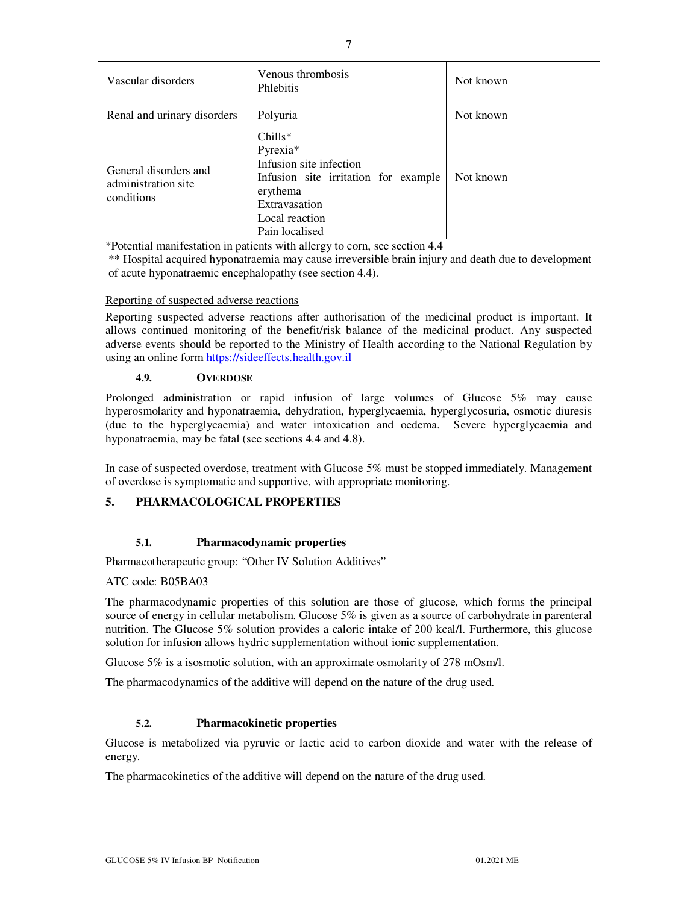| Vascular disorders                                         | Venous thrombosis<br><b>Phlebitis</b>                                                                                                                     | Not known |
|------------------------------------------------------------|-----------------------------------------------------------------------------------------------------------------------------------------------------------|-----------|
| Renal and urinary disorders                                | Polyuria                                                                                                                                                  | Not known |
| General disorders and<br>administration site<br>conditions | $Chills*$<br>Pyrexia*<br>Infusion site infection<br>Infusion site irritation for example<br>erythema<br>Extravasation<br>Local reaction<br>Pain localised | Not known |

\*Potential manifestation in patients with allergy to corn, see section 4.4

\*\* Hospital acquired hyponatraemia may cause irreversible brain injury and death due to development of acute hyponatraemic encephalopathy (see section 4.4).

## Reporting of suspected adverse reactions

Reporting suspected adverse reactions after authorisation of the medicinal product is important. It allows continued monitoring of the benefit/risk balance of the medicinal product. Any suspected adverse events should be reported to the Ministry of Health according to the National Regulation by using an online form https://sideeffects.health.gov.il

#### **4.9. OVERDOSE**

Prolonged administration or rapid infusion of large volumes of Glucose 5% may cause hyperosmolarity and hyponatraemia, dehydration, hyperglycaemia, hyperglycosuria, osmotic diuresis (due to the hyperglycaemia) and water intoxication and oedema. Severe hyperglycaemia and hyponatraemia, may be fatal (see sections 4.4 and 4.8).

In case of suspected overdose, treatment with Glucose 5% must be stopped immediately. Management of overdose is symptomatic and supportive, with appropriate monitoring.

## **5. PHARMACOLOGICAL PROPERTIES**

## **5.1. Pharmacodynamic properties**

Pharmacotherapeutic group: "Other IV Solution Additives"

#### ATC code: B05BA03

The pharmacodynamic properties of this solution are those of glucose, which forms the principal source of energy in cellular metabolism. Glucose 5% is given as a source of carbohydrate in parenteral nutrition. The Glucose 5% solution provides a caloric intake of 200 kcal/l. Furthermore, this glucose solution for infusion allows hydric supplementation without ionic supplementation.

Glucose 5% is a isosmotic solution, with an approximate osmolarity of 278 mOsm/l.

The pharmacodynamics of the additive will depend on the nature of the drug used.

## **5.2. Pharmacokinetic properties**

Glucose is metabolized via pyruvic or lactic acid to carbon dioxide and water with the release of energy.

The pharmacokinetics of the additive will depend on the nature of the drug used.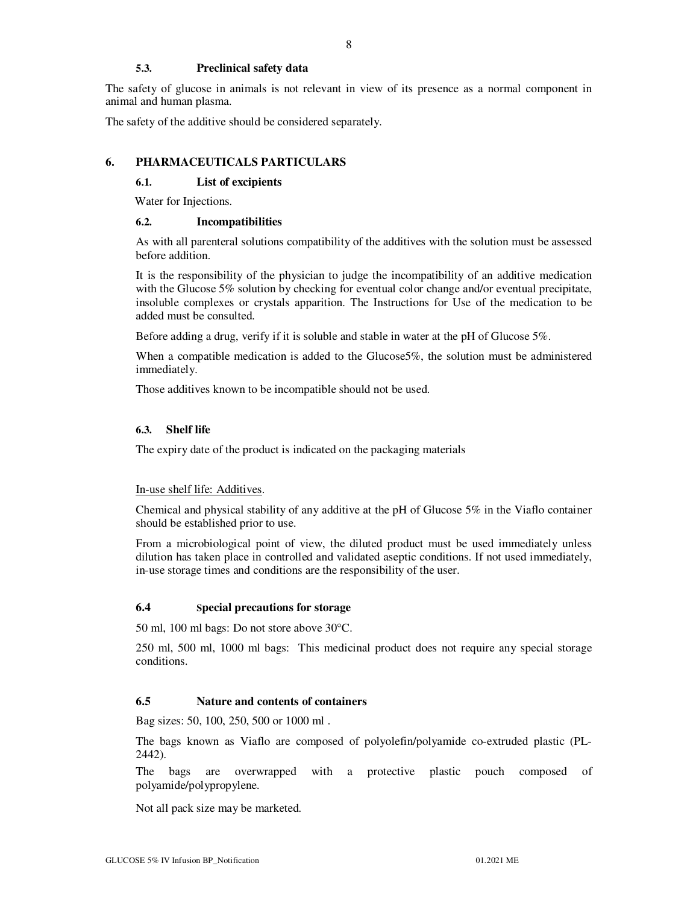## **5.3. Preclinical safety data**

The safety of glucose in animals is not relevant in view of its presence as a normal component in animal and human plasma.

The safety of the additive should be considered separately.

#### **6. PHARMACEUTICALS PARTICULARS**

#### **6.1. List of excipients**

Water for Injections.

#### **6.2. Incompatibilities**

As with all parenteral solutions compatibility of the additives with the solution must be assessed before addition.

It is the responsibility of the physician to judge the incompatibility of an additive medication with the Glucose 5% solution by checking for eventual color change and/or eventual precipitate, insoluble complexes or crystals apparition. The Instructions for Use of the medication to be added must be consulted.

Before adding a drug, verify if it is soluble and stable in water at the pH of Glucose 5%.

When a compatible medication is added to the Glucose 5%, the solution must be administered immediately.

Those additives known to be incompatible should not be used.

#### **6.3. Shelf life**

The expiry date of the product is indicated on the packaging materials

#### In-use shelf life: Additives.

Chemical and physical stability of any additive at the pH of Glucose  $5\%$  in the Viaflo container should be established prior to use.

From a microbiological point of view, the diluted product must be used immediately unless dilution has taken place in controlled and validated aseptic conditions. If not used immediately, in-use storage times and conditions are the responsibility of the user.

#### **6.4 Special precautions for storage**

50 ml, 100 ml bags: Do not store above 30°C.

250 ml, 500 ml, 1000 ml bags: This medicinal product does not require any special storage conditions.

#### **6.5 Nature and contents of containers**

Bag sizes: 50, 100, 250, 500 or 1000 ml .

The bags known as Viaflo are composed of polyolefin/polyamide co-extruded plastic (PL-2442).

The bags are overwrapped with a protective plastic pouch composed of polyamide/polypropylene.

Not all pack size may be marketed.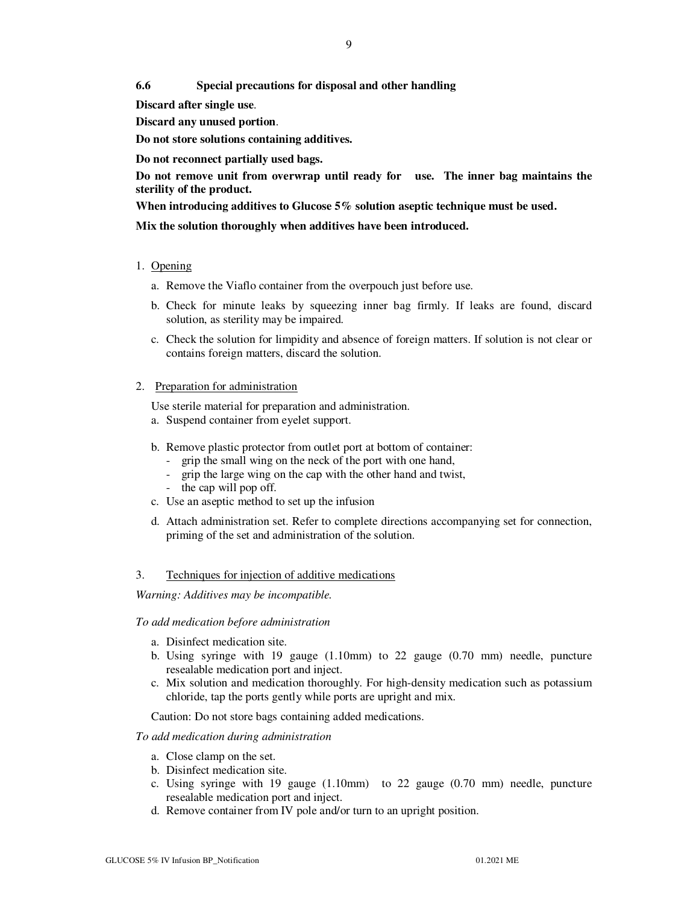**6.6 Special precautions for disposal and other handling**

**Discard after single use**.

**Discard any unused portion**.

**Do not store solutions containing additives.** 

**Do not reconnect partially used bags.** 

**Do not remove unit from overwrap until ready for use. The inner bag maintains the sterility of the product.** 

**When introducing additives to Glucose 5% solution aseptic technique must be used.** 

**Mix the solution thoroughly when additives have been introduced.** 

#### 1. Opening

- a. Remove the Viaflo container from the overpouch just before use.
- b. Check for minute leaks by squeezing inner bag firmly. If leaks are found, discard solution, as sterility may be impaired.
- c. Check the solution for limpidity and absence of foreign matters. If solution is not clear or contains foreign matters, discard the solution.

#### 2. Preparation for administration

Use sterile material for preparation and administration.

- a. Suspend container from eyelet support.
- b. Remove plastic protector from outlet port at bottom of container:
	- grip the small wing on the neck of the port with one hand,
	- grip the large wing on the cap with the other hand and twist,
	- the cap will pop off.
- c. Use an aseptic method to set up the infusion
- d. Attach administration set. Refer to complete directions accompanying set for connection, priming of the set and administration of the solution.

#### 3. Techniques for injection of additive medications

*Warning: Additives may be incompatible.* 

#### *To add medication before administration*

- a. Disinfect medication site.
- b. Using syringe with 19 gauge (1.10mm) to 22 gauge (0.70 mm) needle, puncture resealable medication port and inject.
- c. Mix solution and medication thoroughly. For high-density medication such as potassium chloride, tap the ports gently while ports are upright and mix.

Caution: Do not store bags containing added medications.

#### *To add medication during administration*

- a. Close clamp on the set.
- b. Disinfect medication site.
- c. Using syringe with 19 gauge (1.10mm) to 22 gauge (0.70 mm) needle, puncture resealable medication port and inject.
- d. Remove container from IV pole and/or turn to an upright position.